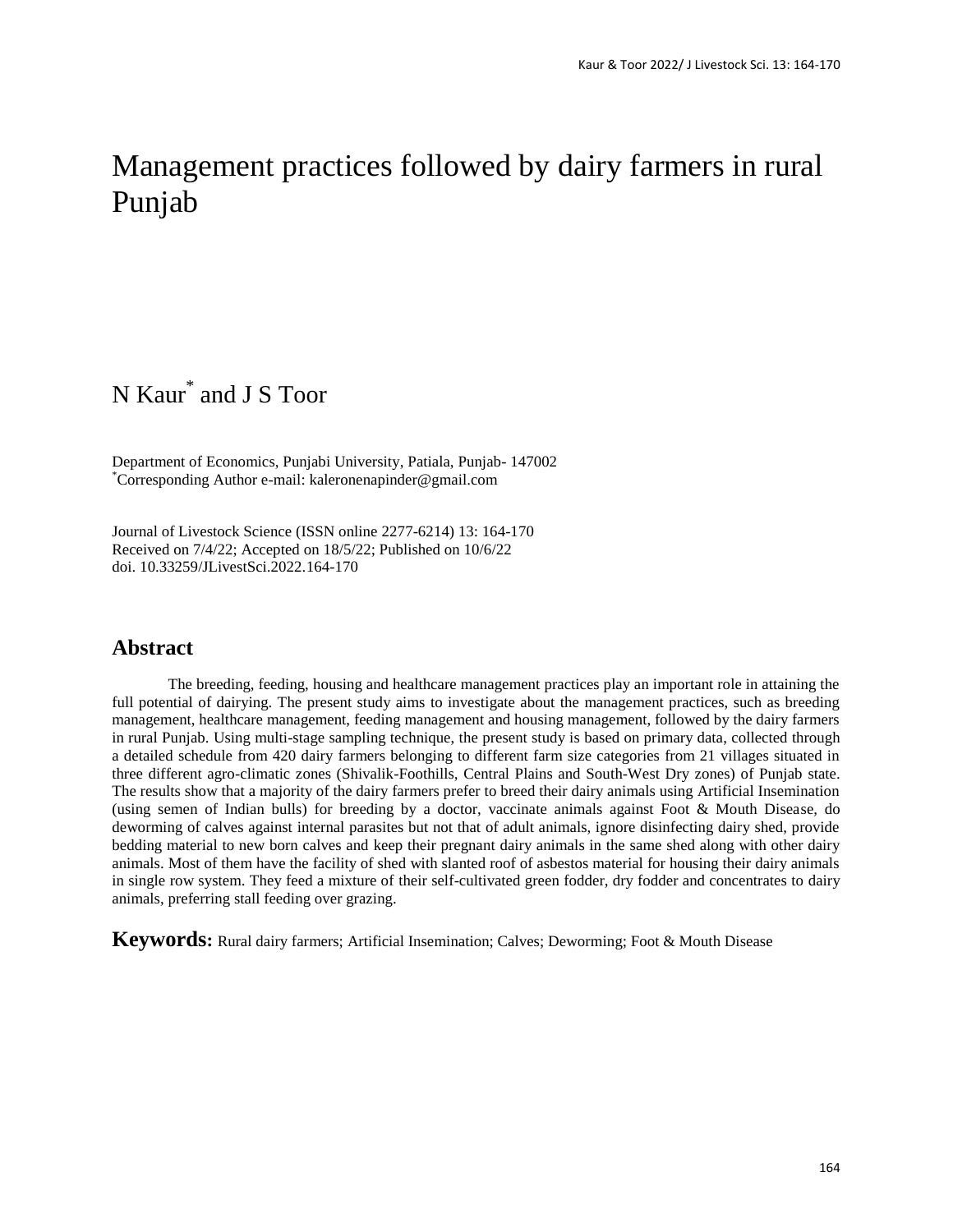# Management practices followed by dairy farmers in rural Punjab

## N Kaur\* and J S Toor

Department of Economics, Punjabi University, Patiala, Punjab- 147002 \*Corresponding Author e-mail: kaleronenapinder@gmail.com

Journal of Livestock Science (ISSN online 2277-6214) 13: 164-170 Received on 7/4/22; Accepted on 18/5/22; Published on 10/6/22 doi. 10.33259/JLivestSci.2022.164-170

## **Abstract**

The breeding, feeding, housing and healthcare management practices play an important role in attaining the full potential of dairying. The present study aims to investigate about the management practices, such as breeding management, healthcare management, feeding management and housing management, followed by the dairy farmers in rural Punjab. Using multi-stage sampling technique, the present study is based on primary data, collected through a detailed schedule from 420 dairy farmers belonging to different farm size categories from 21 villages situated in three different agro-climatic zones (Shivalik-Foothills, Central Plains and South-West Dry zones) of Punjab state. The results show that a majority of the dairy farmers prefer to breed their dairy animals using Artificial Insemination (using semen of Indian bulls) for breeding by a doctor, vaccinate animals against Foot & Mouth Disease, do deworming of calves against internal parasites but not that of adult animals, ignore disinfecting dairy shed, provide bedding material to new born calves and keep their pregnant dairy animals in the same shed along with other dairy animals. Most of them have the facility of shed with slanted roof of asbestos material for housing their dairy animals in single row system. They feed a mixture of their self-cultivated green fodder, dry fodder and concentrates to dairy animals, preferring stall feeding over grazing.

**Keywords:** Rural dairy farmers; Artificial Insemination; Calves; Deworming; Foot & Mouth Disease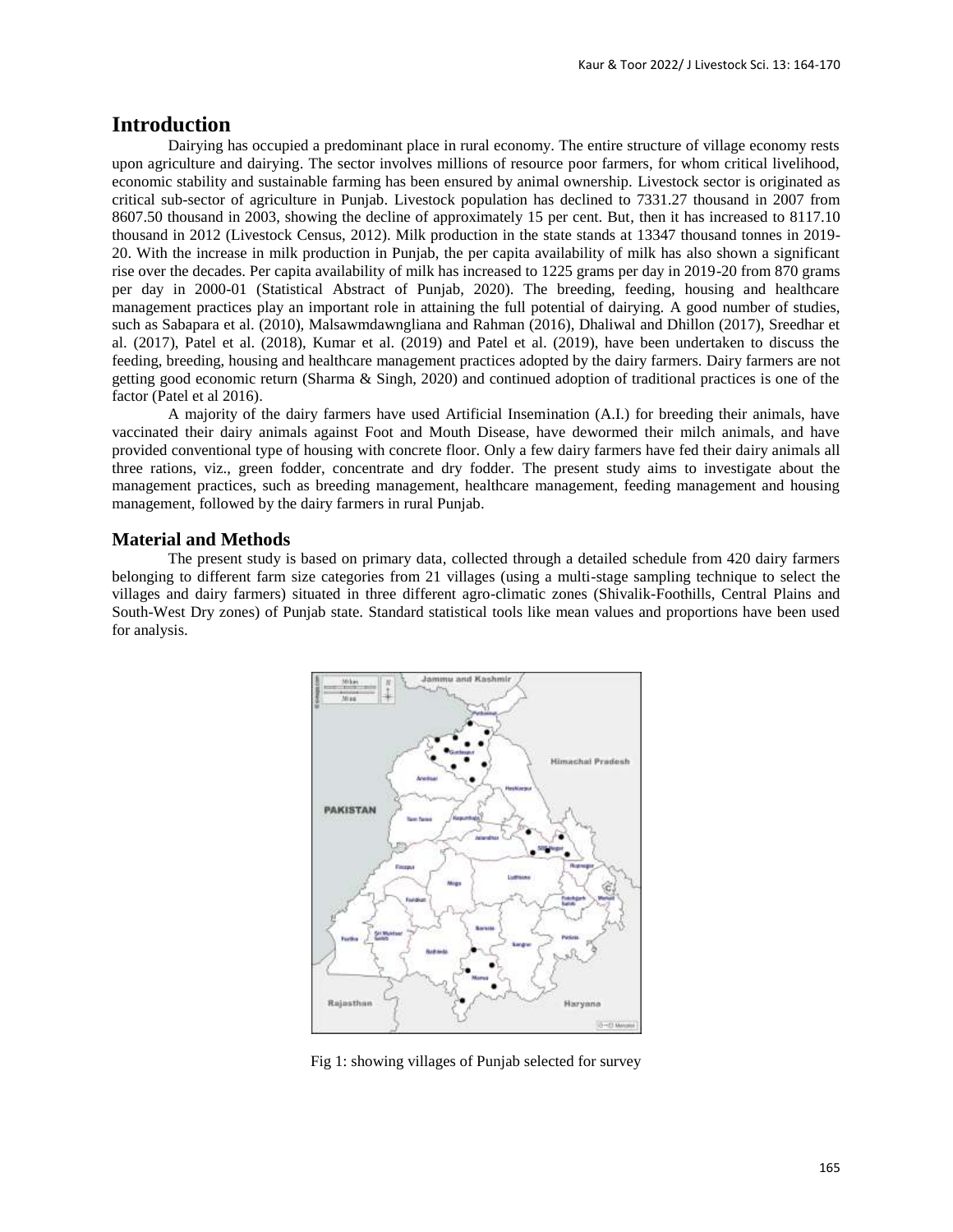## **Introduction**

Dairying has occupied a predominant place in rural economy. The entire structure of village economy rests upon agriculture and dairying. The sector involves millions of resource poor farmers, for whom critical livelihood, economic stability and sustainable farming has been ensured by animal ownership. Livestock sector is originated as critical sub-sector of agriculture in Punjab. Livestock population has declined to 7331.27 thousand in 2007 from 8607.50 thousand in 2003, showing the decline of approximately 15 per cent. But, then it has increased to 8117.10 thousand in 2012 (Livestock Census, 2012). Milk production in the state stands at 13347 thousand tonnes in 2019- 20. With the increase in milk production in Punjab, the per capita availability of milk has also shown a significant rise over the decades. Per capita availability of milk has increased to 1225 grams per day in 2019-20 from 870 grams per day in 2000-01 (Statistical Abstract of Punjab, 2020). The breeding, feeding, housing and healthcare management practices play an important role in attaining the full potential of dairying. A good number of studies, such as Sabapara et al. (2010), Malsawmdawngliana and Rahman (2016), Dhaliwal and Dhillon (2017), Sreedhar et al. (2017), Patel et al. (2018), Kumar et al. (2019) and Patel et al. (2019), have been undertaken to discuss the feeding, breeding, housing and healthcare management practices adopted by the dairy farmers. Dairy farmers are not getting good economic return (Sharma & Singh, 2020) and continued adoption of traditional practices is one of the factor (Patel et al 2016).

A majority of the dairy farmers have used Artificial Insemination (A.I.) for breeding their animals, have vaccinated their dairy animals against Foot and Mouth Disease, have dewormed their milch animals, and have provided conventional type of housing with concrete floor. Only a few dairy farmers have fed their dairy animals all three rations, viz., green fodder, concentrate and dry fodder. The present study aims to investigate about the management practices, such as breeding management, healthcare management, feeding management and housing management, followed by the dairy farmers in rural Punjab.

#### **Material and Methods**

The present study is based on primary data, collected through a detailed schedule from 420 dairy farmers belonging to different farm size categories from 21 villages (using a multi-stage sampling technique to select the villages and dairy farmers) situated in three different agro-climatic zones (Shivalik-Foothills, Central Plains and South-West Dry zones) of Punjab state. Standard statistical tools like mean values and proportions have been used for analysis.



Fig 1: showing villages of Punjab selected for survey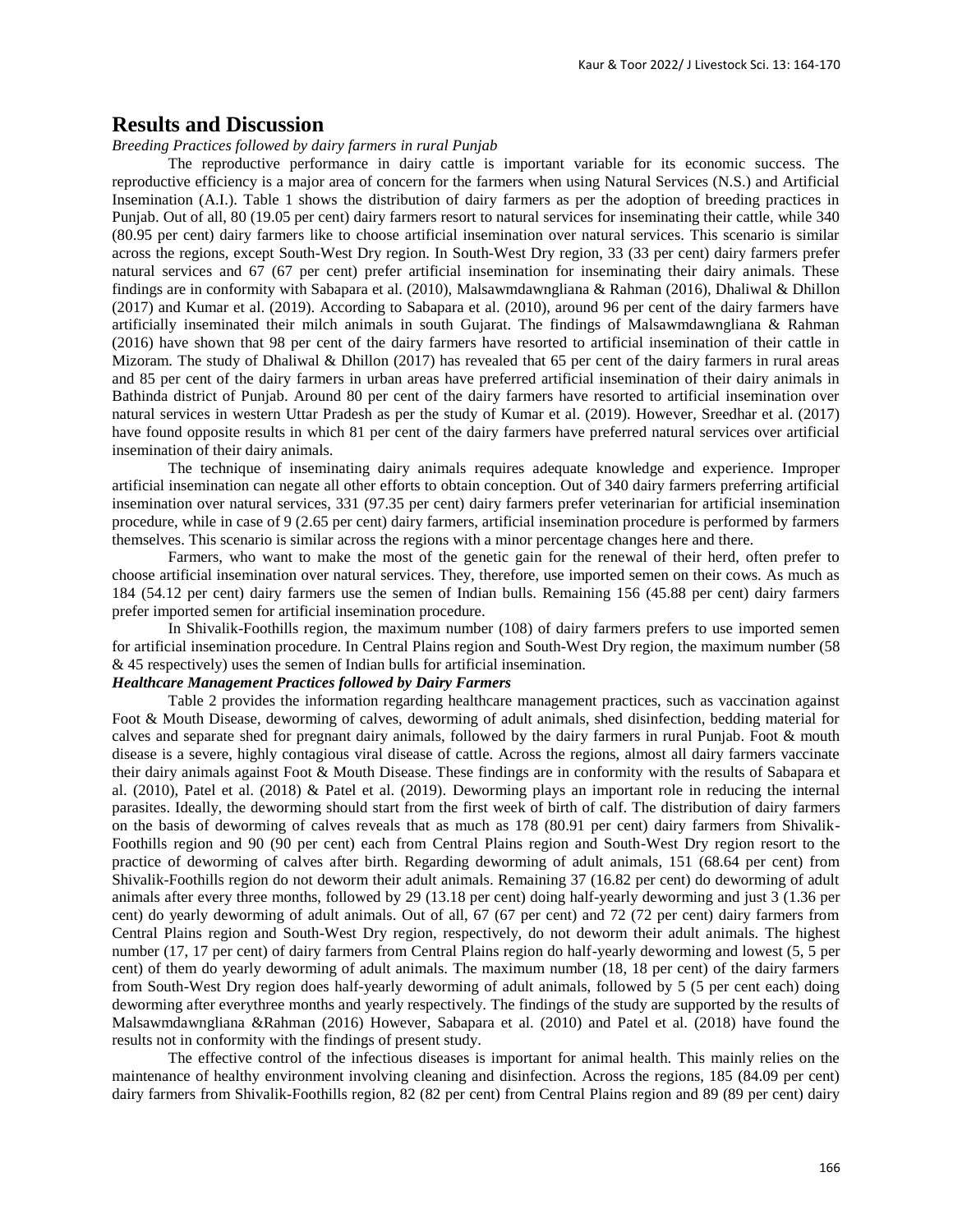### **Results and Discussion**

#### *Breeding Practices followed by dairy farmers in rural Punjab*

The reproductive performance in dairy cattle is important variable for its economic success. The reproductive efficiency is a major area of concern for the farmers when using Natural Services (N.S.) and Artificial Insemination (A.I.). Table 1 shows the distribution of dairy farmers as per the adoption of breeding practices in Punjab. Out of all, 80 (19.05 per cent) dairy farmers resort to natural services for inseminating their cattle, while 340 (80.95 per cent) dairy farmers like to choose artificial insemination over natural services. This scenario is similar across the regions, except South-West Dry region. In South-West Dry region, 33 (33 per cent) dairy farmers prefer natural services and 67 (67 per cent) prefer artificial insemination for inseminating their dairy animals. These findings are in conformity with Sabapara et al. (2010), Malsawmdawngliana & Rahman (2016), Dhaliwal & Dhillon (2017) and Kumar et al. (2019). According to Sabapara et al. (2010), around 96 per cent of the dairy farmers have artificially inseminated their milch animals in south Gujarat. The findings of Malsawmdawngliana & Rahman (2016) have shown that 98 per cent of the dairy farmers have resorted to artificial insemination of their cattle in Mizoram. The study of Dhaliwal & Dhillon (2017) has revealed that 65 per cent of the dairy farmers in rural areas and 85 per cent of the dairy farmers in urban areas have preferred artificial insemination of their dairy animals in Bathinda district of Punjab. Around 80 per cent of the dairy farmers have resorted to artificial insemination over natural services in western Uttar Pradesh as per the study of Kumar et al. (2019). However, Sreedhar et al. (2017) have found opposite results in which 81 per cent of the dairy farmers have preferred natural services over artificial insemination of their dairy animals.

The technique of inseminating dairy animals requires adequate knowledge and experience. Improper artificial insemination can negate all other efforts to obtain conception. Out of 340 dairy farmers preferring artificial insemination over natural services, 331 (97.35 per cent) dairy farmers prefer veterinarian for artificial insemination procedure, while in case of 9 (2.65 per cent) dairy farmers, artificial insemination procedure is performed by farmers themselves. This scenario is similar across the regions with a minor percentage changes here and there.

Farmers, who want to make the most of the genetic gain for the renewal of their herd, often prefer to choose artificial insemination over natural services. They, therefore, use imported semen on their cows. As much as 184 (54.12 per cent) dairy farmers use the semen of Indian bulls. Remaining 156 (45.88 per cent) dairy farmers prefer imported semen for artificial insemination procedure.

In Shivalik-Foothills region, the maximum number (108) of dairy farmers prefers to use imported semen for artificial insemination procedure. In Central Plains region and South-West Dry region, the maximum number (58 & 45 respectively) uses the semen of Indian bulls for artificial insemination.

#### *Healthcare Management Practices followed by Dairy Farmers*

Table 2 provides the information regarding healthcare management practices, such as vaccination against Foot & Mouth Disease, deworming of calves, deworming of adult animals, shed disinfection, bedding material for calves and separate shed for pregnant dairy animals, followed by the dairy farmers in rural Punjab. Foot & mouth disease is a severe, highly contagious viral disease of cattle. Across the regions, almost all dairy farmers vaccinate their dairy animals against Foot & Mouth Disease. These findings are in conformity with the results of Sabapara et al. (2010), Patel et al. (2018) & Patel et al. (2019). Deworming plays an important role in reducing the internal parasites. Ideally, the deworming should start from the first week of birth of calf. The distribution of dairy farmers on the basis of deworming of calves reveals that as much as 178 (80.91 per cent) dairy farmers from Shivalik-Foothills region and 90 (90 per cent) each from Central Plains region and South-West Dry region resort to the practice of deworming of calves after birth. Regarding deworming of adult animals, 151 (68.64 per cent) from Shivalik-Foothills region do not deworm their adult animals. Remaining 37 (16.82 per cent) do deworming of adult animals after every three months, followed by 29 (13.18 per cent) doing half-yearly deworming and just 3 (1.36 per cent) do yearly deworming of adult animals. Out of all, 67 (67 per cent) and 72 (72 per cent) dairy farmers from Central Plains region and South-West Dry region, respectively, do not deworm their adult animals. The highest number (17, 17 per cent) of dairy farmers from Central Plains region do half-yearly deworming and lowest (5, 5 per cent) of them do yearly deworming of adult animals. The maximum number (18, 18 per cent) of the dairy farmers from South-West Dry region does half-yearly deworming of adult animals, followed by 5 (5 per cent each) doing deworming after everythree months and yearly respectively. The findings of the study are supported by the results of Malsawmdawngliana &Rahman (2016) However, Sabapara et al. (2010) and Patel et al. (2018) have found the results not in conformity with the findings of present study.

The effective control of the infectious diseases is important for animal health. This mainly relies on the maintenance of healthy environment involving cleaning and disinfection. Across the regions, 185 (84.09 per cent) dairy farmers from Shivalik-Foothills region, 82 (82 per cent) from Central Plains region and 89 (89 per cent) dairy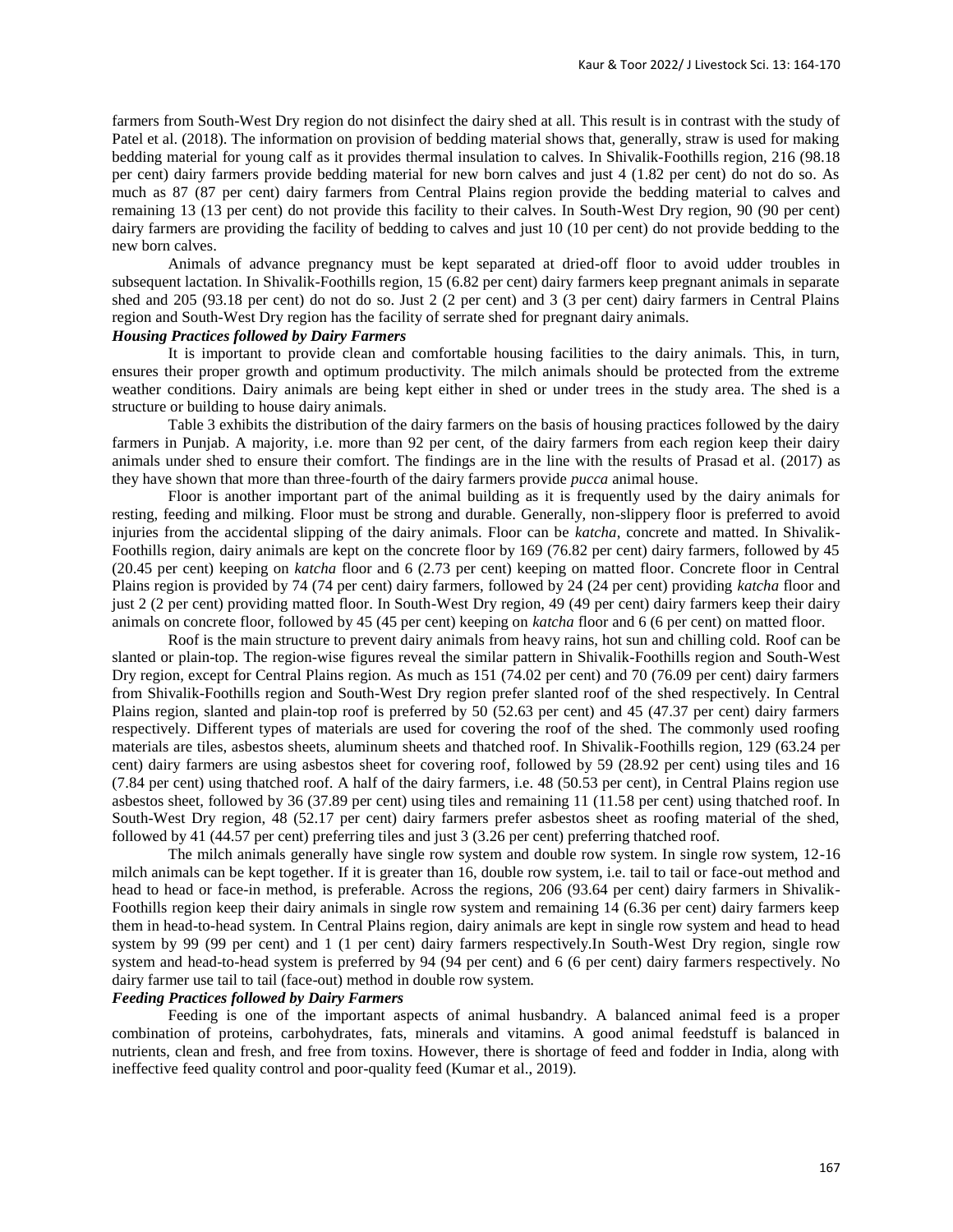farmers from South-West Dry region do not disinfect the dairy shed at all. This result is in contrast with the study of Patel et al. (2018). The information on provision of bedding material shows that, generally, straw is used for making bedding material for young calf as it provides thermal insulation to calves. In Shivalik-Foothills region, 216 (98.18 per cent) dairy farmers provide bedding material for new born calves and just 4 (1.82 per cent) do not do so. As much as 87 (87 per cent) dairy farmers from Central Plains region provide the bedding material to calves and remaining 13 (13 per cent) do not provide this facility to their calves. In South-West Dry region, 90 (90 per cent) dairy farmers are providing the facility of bedding to calves and just 10 (10 per cent) do not provide bedding to the new born calves.

Animals of advance pregnancy must be kept separated at dried-off floor to avoid udder troubles in subsequent lactation. In Shivalik-Foothills region, 15 (6.82 per cent) dairy farmers keep pregnant animals in separate shed and 205 (93.18 per cent) do not do so. Just 2 (2 per cent) and 3 (3 per cent) dairy farmers in Central Plains region and South-West Dry region has the facility of serrate shed for pregnant dairy animals.

#### *Housing Practices followed by Dairy Farmers*

It is important to provide clean and comfortable housing facilities to the dairy animals. This, in turn, ensures their proper growth and optimum productivity. The milch animals should be protected from the extreme weather conditions. Dairy animals are being kept either in shed or under trees in the study area. The shed is a structure or building to house dairy animals.

Table 3 exhibits the distribution of the dairy farmers on the basis of housing practices followed by the dairy farmers in Punjab. A majority, i.e. more than 92 per cent, of the dairy farmers from each region keep their dairy animals under shed to ensure their comfort. The findings are in the line with the results of Prasad et al*.* (2017) as they have shown that more than three-fourth of the dairy farmers provide *pucca* animal house.

Floor is another important part of the animal building as it is frequently used by the dairy animals for resting, feeding and milking. Floor must be strong and durable. Generally, non-slippery floor is preferred to avoid injuries from the accidental slipping of the dairy animals. Floor can be *katcha*, concrete and matted. In Shivalik-Foothills region, dairy animals are kept on the concrete floor by 169 (76.82 per cent) dairy farmers, followed by 45 (20.45 per cent) keeping on *katcha* floor and 6 (2.73 per cent) keeping on matted floor. Concrete floor in Central Plains region is provided by 74 (74 per cent) dairy farmers, followed by 24 (24 per cent) providing *katcha* floor and just 2 (2 per cent) providing matted floor. In South-West Dry region, 49 (49 per cent) dairy farmers keep their dairy animals on concrete floor, followed by 45 (45 per cent) keeping on *katcha* floor and 6 (6 per cent) on matted floor.

Roof is the main structure to prevent dairy animals from heavy rains, hot sun and chilling cold. Roof can be slanted or plain-top. The region-wise figures reveal the similar pattern in Shivalik-Foothills region and South-West Dry region, except for Central Plains region. As much as 151 (74.02 per cent) and 70 (76.09 per cent) dairy farmers from Shivalik-Foothills region and South-West Dry region prefer slanted roof of the shed respectively. In Central Plains region, slanted and plain-top roof is preferred by 50 (52.63 per cent) and 45 (47.37 per cent) dairy farmers respectively. Different types of materials are used for covering the roof of the shed. The commonly used roofing materials are tiles, asbestos sheets, aluminum sheets and thatched roof. In Shivalik-Foothills region, 129 (63.24 per cent) dairy farmers are using asbestos sheet for covering roof, followed by 59 (28.92 per cent) using tiles and 16 (7.84 per cent) using thatched roof. A half of the dairy farmers, i.e. 48 (50.53 per cent), in Central Plains region use asbestos sheet, followed by 36 (37.89 per cent) using tiles and remaining 11 (11.58 per cent) using thatched roof. In South-West Dry region, 48 (52.17 per cent) dairy farmers prefer asbestos sheet as roofing material of the shed, followed by 41 (44.57 per cent) preferring tiles and just 3 (3.26 per cent) preferring thatched roof.

The milch animals generally have single row system and double row system. In single row system, 12-16 milch animals can be kept together. If it is greater than 16, double row system, i.e. tail to tail or face-out method and head to head or face-in method, is preferable. Across the regions, 206 (93.64 per cent) dairy farmers in Shivalik-Foothills region keep their dairy animals in single row system and remaining 14 (6.36 per cent) dairy farmers keep them in head-to-head system. In Central Plains region, dairy animals are kept in single row system and head to head system by 99 (99 per cent) and 1 (1 per cent) dairy farmers respectively.In South-West Dry region, single row system and head-to-head system is preferred by 94 (94 per cent) and 6 (6 per cent) dairy farmers respectively. No dairy farmer use tail to tail (face-out) method in double row system.

#### *Feeding Practices followed by Dairy Farmers*

Feeding is one of the important aspects of animal husbandry. A balanced animal feed is a proper combination of proteins, carbohydrates, fats, minerals and vitamins. A good animal feedstuff is balanced in nutrients, clean and fresh, and free from toxins. However, there is shortage of feed and fodder in India, along with ineffective feed quality control and poor-quality feed (Kumar et al., 2019).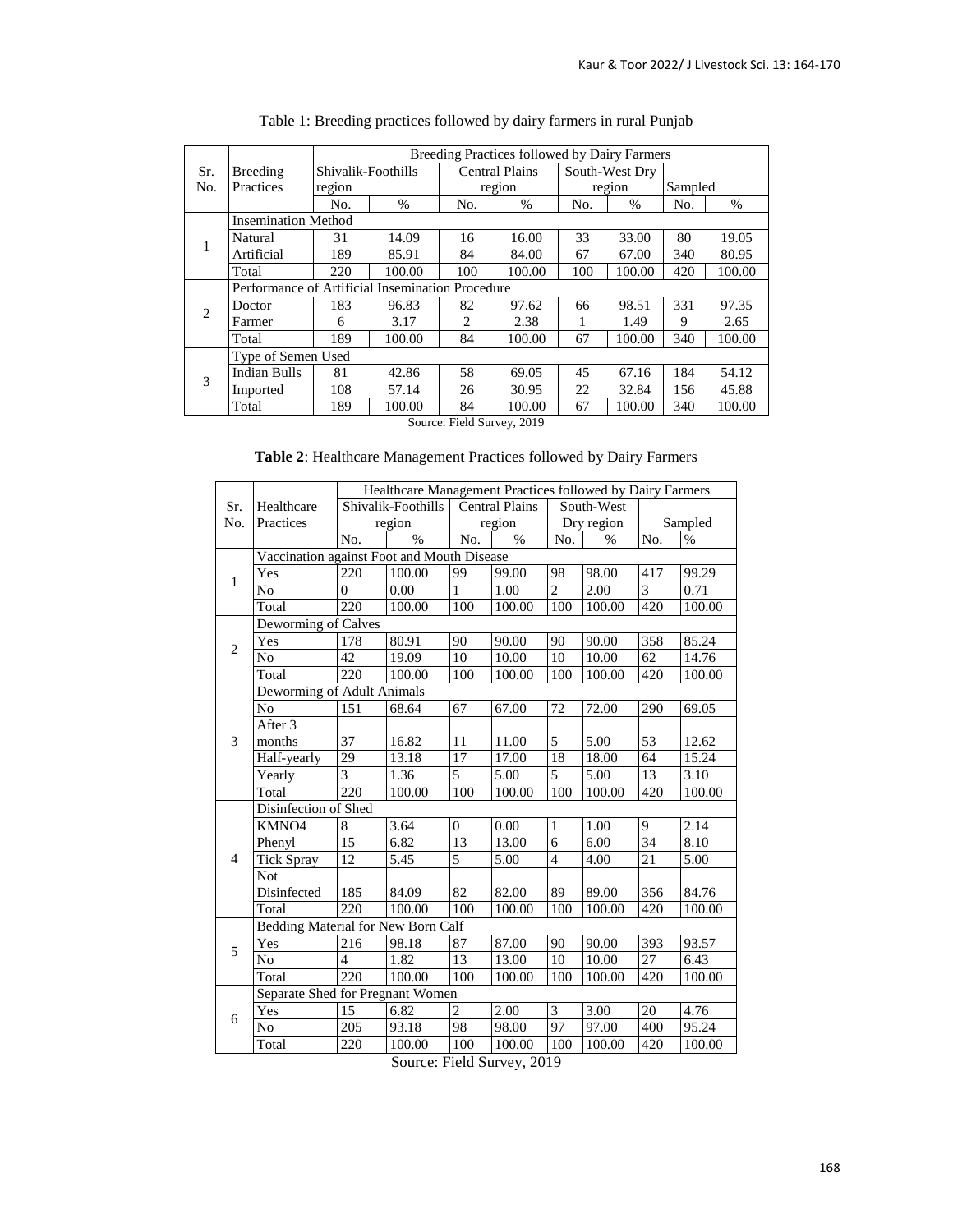|                |                                                  | Breeding Practices followed by Dairy Farmers |        |     |                       |     |                |         |        |  |
|----------------|--------------------------------------------------|----------------------------------------------|--------|-----|-----------------------|-----|----------------|---------|--------|--|
| Sr.            | Breeding                                         | Shivalik-Foothills                           |        |     | <b>Central Plains</b> |     | South-West Dry |         |        |  |
| No.            | Practices                                        | region                                       |        |     | region                |     | region         | Sampled |        |  |
|                |                                                  | No.                                          | %      | No. | $\%$                  | No. | %              | No.     | %      |  |
|                | <b>Insemination Method</b>                       |                                              |        |     |                       |     |                |         |        |  |
| 1              | Natural                                          | 31                                           | 14.09  | 16  | 16.00                 | 33  | 33.00          | 80      | 19.05  |  |
|                | Artificial                                       | 189                                          | 85.91  | 84  | 84.00                 | 67  | 67.00          | 340     | 80.95  |  |
|                | Total                                            | 220                                          | 100.00 | 100 | 100.00                | 100 | 100.00         | 420     | 100.00 |  |
|                | Performance of Artificial Insemination Procedure |                                              |        |     |                       |     |                |         |        |  |
| $\overline{2}$ | Doctor                                           | 183                                          | 96.83  | 82  | 97.62                 | 66  | 98.51          | 331     | 97.35  |  |
|                | Farmer                                           | 6                                            | 3.17   | 2   | 2.38                  |     | 1.49           | 9       | 2.65   |  |
|                | Total                                            | 189                                          | 100.00 | 84  | 100.00                | 67  | 100.00         | 340     | 100.00 |  |
|                | Type of Semen Used                               |                                              |        |     |                       |     |                |         |        |  |
| 3              | <b>Indian Bulls</b>                              | 81                                           | 42.86  | 58  | 69.05                 | 45  | 67.16          | 184     | 54.12  |  |
|                | Imported                                         | 108                                          | 57.14  | 26  | 30.95                 | 22  | 32.84          | 156     | 45.88  |  |
|                | Total                                            | 189                                          | 100.00 | 84  | 100.00                | 67  | 100.00         | 340     | 100.00 |  |

|  | Table 1: Breeding practices followed by dairy farmers in rural Punjab |  |  |  |  |
|--|-----------------------------------------------------------------------|--|--|--|--|
|  |                                                                       |  |  |  |  |

Source: Field Survey, 2019

## **Table 2**: Healthcare Management Practices followed by Dairy Farmers

|                |                                            | Healthcare Management Practices followed by Dairy Farmers |                    |                |                       |                |            |                |         |  |  |  |
|----------------|--------------------------------------------|-----------------------------------------------------------|--------------------|----------------|-----------------------|----------------|------------|----------------|---------|--|--|--|
| Sr.            | Healthcare                                 |                                                           | Shivalik-Foothills |                | <b>Central Plains</b> |                | South-West |                |         |  |  |  |
| No.            | Practices                                  | region                                                    |                    |                | region                |                | Dry region |                | Sampled |  |  |  |
|                |                                            | No.                                                       | $\frac{0}{0}$      | No.            | $\%$                  | No.            | $\%$       | No.            | $\%$    |  |  |  |
|                | Vaccination against Foot and Mouth Disease |                                                           |                    |                |                       |                |            |                |         |  |  |  |
| $\mathbf{1}$   | Yes                                        | 220                                                       | 100.00             | 99             | 99.00                 | 98             | 98.00      | 417            | 99.29   |  |  |  |
|                | N <sub>o</sub>                             | $\Omega$                                                  | 0.00               | 1              | 1.00                  | $\overline{2}$ | 2.00       | 3              | 0.71    |  |  |  |
|                | Total                                      | 220                                                       | 100.00             | 100            | 100.00                | 100            | 100.00     | 420            | 100.00  |  |  |  |
|                | Deworming of Calves                        |                                                           |                    |                |                       |                |            |                |         |  |  |  |
| $\overline{2}$ | Yes                                        | 178                                                       | 80.91              | 90             | 90.00                 | 90             | 90.00      | 358            | 85.24   |  |  |  |
|                | No                                         | 42                                                        | 19.09              | 10             | 10.00                 | 10             | 10.00      | 62             | 14.76   |  |  |  |
|                | Total                                      | 220                                                       | 100.00             | 100            | 100.00                | 100            | 100.00     | 420            | 100.00  |  |  |  |
|                | Deworming of Adult Animals                 |                                                           |                    |                |                       |                |            |                |         |  |  |  |
|                | N <sub>o</sub>                             | 151                                                       | 68.64              | 67             | 67.00                 | 72             | 72.00      | 290            | 69.05   |  |  |  |
|                | After 3                                    |                                                           |                    |                |                       |                |            |                |         |  |  |  |
| 3              | months                                     | 37                                                        | 16.82              | 11             | 11.00                 | 5              | 5.00       | 53             | 12.62   |  |  |  |
|                | Half-yearly                                | 29                                                        | 13.18              | 17             | 17.00                 | 18             | 18.00      | 64             | 15.24   |  |  |  |
|                | Yearly                                     | 3                                                         | 1.36               | 5              | 5.00                  | 5              | 5.00       | 13             | 3.10    |  |  |  |
|                | Total                                      | 220                                                       | 100.00             | 100            | 100.00                | 100            | 100.00     | 420            | 100.00  |  |  |  |
|                | Disinfection of Shed                       |                                                           |                    |                |                       |                |            |                |         |  |  |  |
|                | KMNO4                                      | 8                                                         | 3.64               | $\overline{0}$ | 0.00                  | $\mathbf{1}$   | 1.00       | $\overline{9}$ | 2.14    |  |  |  |
|                | Phenyl                                     | 15                                                        | 6.82               | 13             | 13.00                 | 6              | 6.00       | 34             | 8.10    |  |  |  |
| $\overline{4}$ | <b>Tick Spray</b>                          | 12                                                        | 5.45               | 5              | 5.00                  | $\overline{4}$ | 4.00       | 21             | 5.00    |  |  |  |
|                | <b>Not</b>                                 |                                                           |                    |                |                       |                |            |                |         |  |  |  |
|                | Disinfected                                | 185                                                       | 84.09              | 82             | 82.00                 | 89             | 89.00      | 356            | 84.76   |  |  |  |
|                | Total                                      | 220                                                       | 100.00             | 100            | 100.00                | 100            | 100.00     | 420            | 100.00  |  |  |  |
|                | Bedding Material for New Born Calf         |                                                           |                    |                |                       |                |            |                |         |  |  |  |
| 5              | Yes                                        | 216                                                       | 98.18              | 87             | 87.00                 | 90             | 90.00      | 393            | 93.57   |  |  |  |
|                | N <sub>o</sub>                             | $\overline{4}$                                            | 1.82               | 13             | 13.00                 | 10             | 10.00      | 27             | 6.43    |  |  |  |
|                | Total                                      | 220                                                       | 100.00             | 100            | 100.00                | 100            | 100.00     | 420            | 100.00  |  |  |  |
|                | Separate Shed for Pregnant Women           |                                                           |                    |                |                       |                |            |                |         |  |  |  |
| 6              | Yes                                        | 15                                                        | 6.82               | $\overline{c}$ | 2.00                  | $\mathfrak{Z}$ | 3.00       | 20             | 4.76    |  |  |  |
|                | No                                         | 205                                                       | 93.18              | 98             | 98.00                 | 97             | 97.00      | 400            | 95.24   |  |  |  |
|                | Total                                      | 220                                                       | 100.00             | 100            | 100.00                | 100            | 100.00     | 420            | 100.00  |  |  |  |

Source: Field Survey, 2019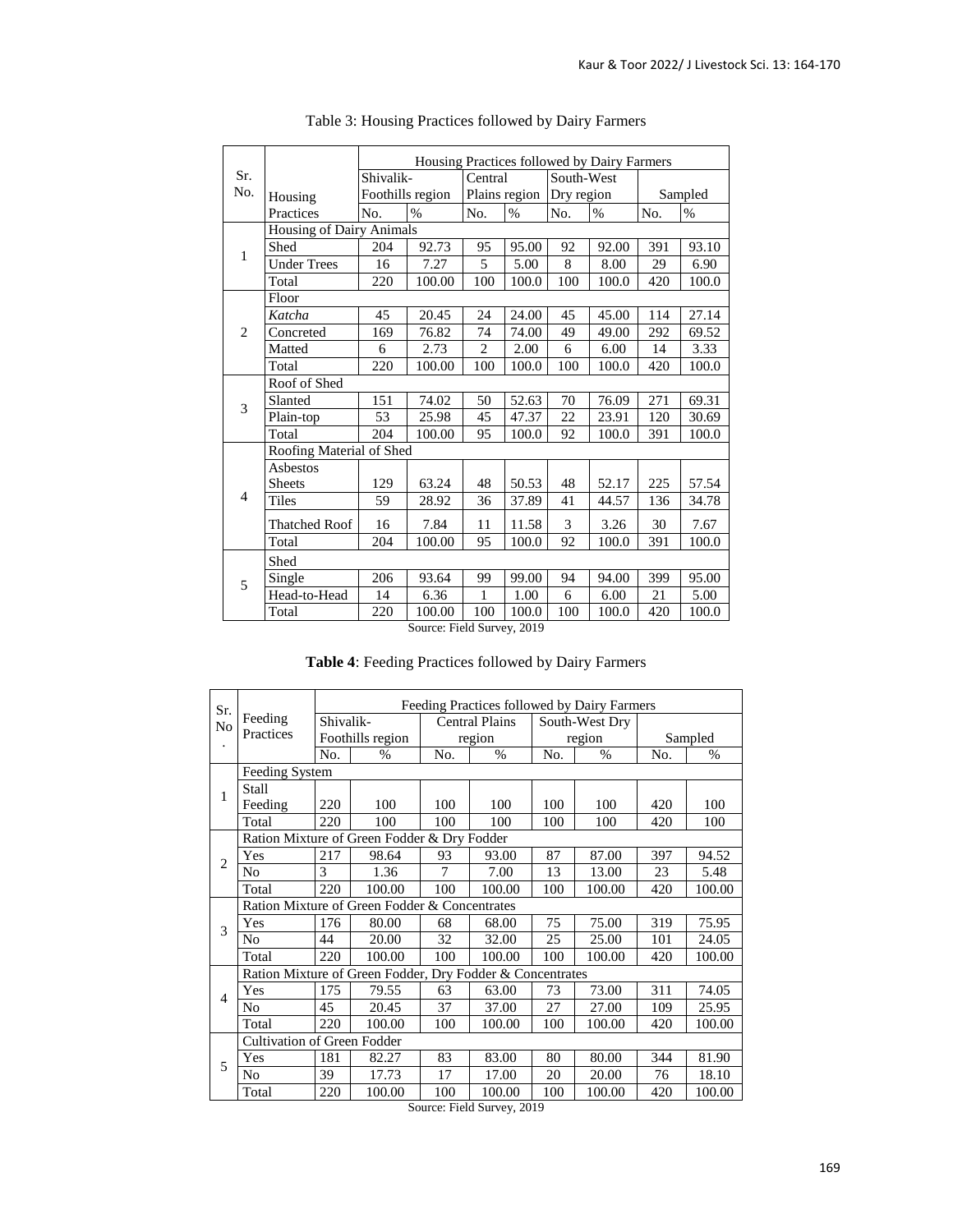|                |                          | Housing Practices followed by Dairy Farmers |                  |                |       |            |            |         |       |  |  |
|----------------|--------------------------|---------------------------------------------|------------------|----------------|-------|------------|------------|---------|-------|--|--|
| Sr.            |                          | Shivalik-                                   |                  | Central        |       |            | South-West |         |       |  |  |
| No.            | Housing                  |                                             | Foothills region | Plains region  |       | Dry region |            | Sampled |       |  |  |
|                | Practices                | No.                                         | $\%$             | No.            | $\%$  | No.        | $\%$       | No.     | $\%$  |  |  |
|                | Housing of Dairy Animals |                                             |                  |                |       |            |            |         |       |  |  |
| 1              | Shed                     | 204                                         | 92.73            | 95             | 95.00 | 92         | 92.00      | 391     | 93.10 |  |  |
|                | <b>Under Trees</b>       | 16                                          | 7.27             | 5              | 5.00  | 8          | 8.00       | 29      | 6.90  |  |  |
|                | Total                    | 220                                         | 100.00           | 100            | 100.0 | 100        | 100.0      | 420     | 100.0 |  |  |
|                | Floor                    |                                             |                  |                |       |            |            |         |       |  |  |
|                | Katcha                   | 45                                          | 20.45            | 24             | 24.00 | 45         | 45.00      | 114     | 27.14 |  |  |
| 2              | Concreted                | 169                                         | 76.82            | 74             | 74.00 | 49         | 49.00      | 292     | 69.52 |  |  |
|                | Matted                   | 6                                           | 2.73             | $\overline{2}$ | 2.00  | 6          | 6.00       | 14      | 3.33  |  |  |
|                | Total                    | 220                                         | 100.00           | 100            | 100.0 | 100        | 100.0      | 420     | 100.0 |  |  |
|                | Roof of Shed             |                                             |                  |                |       |            |            |         |       |  |  |
| 3              | Slanted                  | 151                                         | 74.02            | 50             | 52.63 | 70         | 76.09      | 271     | 69.31 |  |  |
|                | Plain-top                | 53                                          | 25.98            | 45             | 47.37 | 22         | 23.91      | 120     | 30.69 |  |  |
|                | Total                    | 204                                         | 100.00           | 95             | 100.0 | 92         | 100.0      | 391     | 100.0 |  |  |
|                | Roofing Material of Shed |                                             |                  |                |       |            |            |         |       |  |  |
|                | Asbestos                 |                                             |                  |                |       |            |            |         |       |  |  |
|                | <b>Sheets</b>            | 129                                         | 63.24            | 48             | 50.53 | 48         | 52.17      | 225     | 57.54 |  |  |
| $\overline{4}$ | <b>Tiles</b>             | 59                                          | 28.92            | 36             | 37.89 | 41         | 44.57      | 136     | 34.78 |  |  |
|                | <b>Thatched Roof</b>     | 16                                          | 7.84             | 11             | 11.58 | 3          | 3.26       | 30      | 7.67  |  |  |
|                | Total                    | 204                                         | 100.00           | 95             | 100.0 | 92         | 100.0      | 391     | 100.0 |  |  |
|                | Shed                     |                                             |                  |                |       |            |            |         |       |  |  |
| 5              | Single                   | 206                                         | 93.64            | 99             | 99.00 | 94         | 94.00      | 399     | 95.00 |  |  |
|                | Head-to-Head             | 14                                          | 6.36             | 1              | 1.00  | 6          | 6.00       | 21      | 5.00  |  |  |
|                | Total                    | 220                                         | 100.00           | 100            | 100.0 | 100        | 100.0      | 420     | 100.0 |  |  |

| Table 3: Housing Practices followed by Dairy Farmers |  |  |
|------------------------------------------------------|--|--|
|                                                      |  |  |

Source: Field Survey, 2019

|  | Table 4: Feeding Practices followed by Dairy Farmers |  |  |
|--|------------------------------------------------------|--|--|
|  |                                                      |  |  |

| Sr.                                    |                                                           | Feeding Practices followed by Dairy Farmers |                  |                       |        |     |                |     |               |  |  |  |
|----------------------------------------|-----------------------------------------------------------|---------------------------------------------|------------------|-----------------------|--------|-----|----------------|-----|---------------|--|--|--|
| N <sub>o</sub><br>$\ddot{\phantom{0}}$ | Feeding                                                   | Shivalik-                                   |                  | <b>Central Plains</b> |        |     | South-West Dry |     |               |  |  |  |
|                                        | Practices                                                 |                                             | Foothills region |                       | region |     | region         |     | Sampled       |  |  |  |
|                                        |                                                           | No.                                         | $\frac{0}{0}$    | No.                   | $\%$   | No. | $\%$           | No. | $\frac{0}{0}$ |  |  |  |
|                                        | Feeding System                                            |                                             |                  |                       |        |     |                |     |               |  |  |  |
| 1                                      | Stall                                                     |                                             |                  |                       |        |     |                |     |               |  |  |  |
|                                        | Feeding                                                   | 220                                         | 100              | 100                   | 100    | 100 | 100            | 420 | 100           |  |  |  |
|                                        | Total                                                     | 220                                         | 100              | 100                   | 100    | 100 | 100            | 420 | 100           |  |  |  |
|                                        | Ration Mixture of Green Fodder & Dry Fodder               |                                             |                  |                       |        |     |                |     |               |  |  |  |
| $\overline{2}$                         | Yes                                                       | 217                                         | 98.64            | 93                    | 93.00  | 87  | 87.00          | 397 | 94.52         |  |  |  |
|                                        | No                                                        | 3                                           | 1.36             | 7                     | 7.00   | 13  | 13.00          | 23  | 5.48          |  |  |  |
|                                        | Total                                                     | 220                                         | 100.00           | 100                   | 100.00 | 100 | 100.00         | 420 | 100.00        |  |  |  |
|                                        | Ration Mixture of Green Fodder & Concentrates             |                                             |                  |                       |        |     |                |     |               |  |  |  |
| 3                                      | Yes                                                       | 176                                         | 80.00            | 68                    | 68.00  | 75  | 75.00          | 319 | 75.95         |  |  |  |
|                                        | No                                                        | 44                                          | 20.00            | 32                    | 32.00  | 25  | 25.00          | 101 | 24.05         |  |  |  |
|                                        | Total                                                     | 220                                         | 100.00           | 100                   | 100.00 | 100 | 100.00         | 420 | 100.00        |  |  |  |
|                                        | Ration Mixture of Green Fodder, Dry Fodder & Concentrates |                                             |                  |                       |        |     |                |     |               |  |  |  |
| $\overline{4}$                         | Yes                                                       | 175                                         | 79.55            | 63                    | 63.00  | 73  | 73.00          | 311 | 74.05         |  |  |  |
|                                        | No                                                        | 45                                          | 20.45            | 37                    | 37.00  | 27  | 27.00          | 109 | 25.95         |  |  |  |
|                                        | Total                                                     | 220                                         | 100.00           | 100                   | 100.00 | 100 | 100.00         | 420 | 100.00        |  |  |  |
|                                        | <b>Cultivation of Green Fodder</b>                        |                                             |                  |                       |        |     |                |     |               |  |  |  |
| 5                                      | Yes                                                       | 181                                         | 82.27            | 83                    | 83.00  | 80  | 80.00          | 344 | 81.90         |  |  |  |
|                                        | No                                                        | 39                                          | 17.73            | 17                    | 17.00  | 20  | 20.00          | 76  | 18.10         |  |  |  |
|                                        | Total                                                     | 220                                         | 100.00           | 100                   | 100.00 | 100 | 100.00         | 420 | 100.00        |  |  |  |

Source: Field Survey, 2019